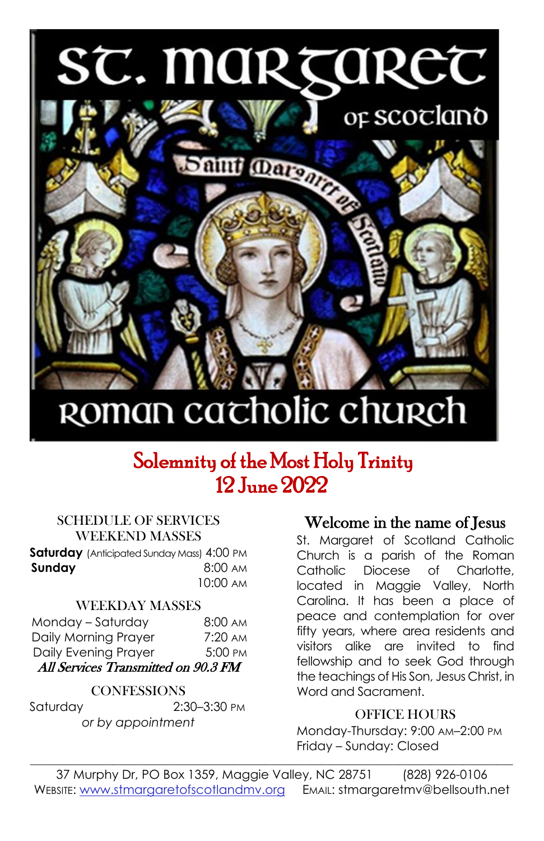# SC. MARTAREC



## ROMAN cacholic church

### Solemnity of the Most Holy Trinity 12 June 2022

#### SCHEDULE OF SERVICES WEEKEND MASSES

**Saturday** (Anticipated Sunday Mass) 4:00 PM **Sunday 8:00 AM** 10:00 AM

#### WEEKDAY MASSES

| Monday - Saturday                   | $8:00 \text{ AM}$ |  |  |  |
|-------------------------------------|-------------------|--|--|--|
| Daily Morning Prayer                | $7:20 \text{ AM}$ |  |  |  |
| Daily Evening Prayer                | 5:00 PM           |  |  |  |
| All Services Transmitted on 90.3 FM |                   |  |  |  |

#### **CONFESSIONS**

Saturday 2:30–3:30 PM *or by appointment*

#### Welcome in the name of Jesus

St. Margaret of Scotland Catholic Church is a parish of the Roman Catholic Diocese of Charlotte, located in Maggie Valley, North Carolina. It has been a place of peace and contemplation for over fifty years, where area residents and visitors alike are invited to find fellowship and to seek God through the teachings of His Son, Jesus Christ, in Word and Sacrament.

#### OFFICE HOURS

Monday-Thursday: 9:00 AM–2:00 PM Friday – Sunday: Closed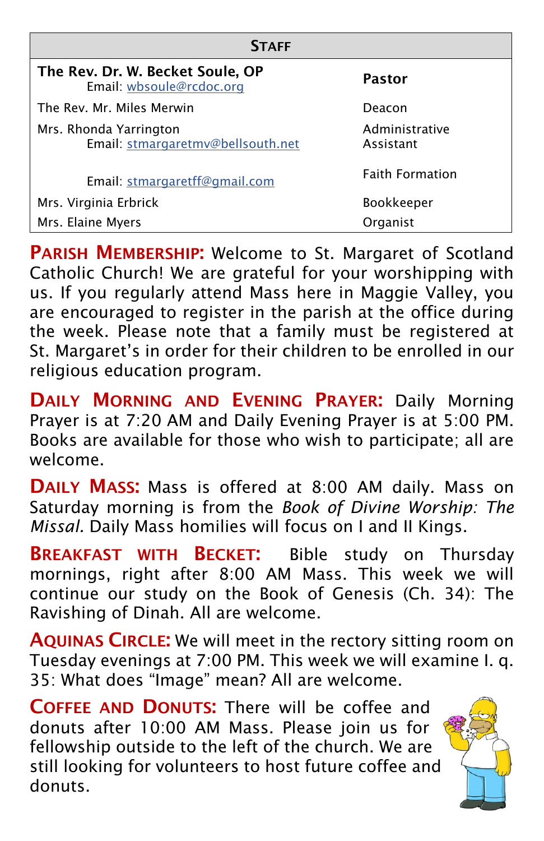| <b>STAFF</b>                                                 |                             |  |  |  |  |
|--------------------------------------------------------------|-----------------------------|--|--|--|--|
| The Rev. Dr. W. Becket Soule, OP<br>Email: wbsoule@rcdoc.org | Pastor                      |  |  |  |  |
| The Rev. Mr. Miles Merwin                                    | Deacon                      |  |  |  |  |
| Mrs. Rhonda Yarrington<br>Email: stmargaretmv@bellsouth.net  | Administrative<br>Assistant |  |  |  |  |
| Email: stmargaretff@gmail.com                                | <b>Faith Formation</b>      |  |  |  |  |
| Mrs. Virginia Erbrick                                        | <b>Bookkeeper</b>           |  |  |  |  |
| Mrs. Elaine Myers                                            | Organist                    |  |  |  |  |

**PARISH MEMBERSHIP:** Welcome to St. Margaret of Scotland Catholic Church! We are grateful for your worshipping with us. If you regularly attend Mass here in Maggie Valley, you are encouraged to register in the parish at the office during the week. Please note that a family must be registered at St. Margaret's in order for their children to be enrolled in our religious education program.

DAILY MORNING AND EVENING PRAYER: Daily Morning Prayer is at 7:20 AM and Daily Evening Prayer is at 5:00 PM. Books are available for those who wish to participate; all are welcome.

DAILY MASS: Mass is offered at 8:00 AM daily. Mass on Saturday morning is from the *Book of Divine Worship: The Missal.* Daily Mass homilies will focus on I and II Kings.

**BREAKFAST WITH BECKET:** Bible study on Thursday mornings, right after 8:00 AM Mass. This week we will continue our study on the Book of Genesis (Ch. 34): The Ravishing of Dinah. All are welcome.

AQUINAS CIRCLE: We will meet in the rectory sitting room on Tuesday evenings at 7:00 PM. This week we will examine I. q. 35: What does "Image" mean? All are welcome.

COFFEE AND DONUTS: There will be coffee and donuts after 10:00 AM Mass. Please join us for fellowship outside to the left of the church. We are still looking for volunteers to host future coffee and donuts.

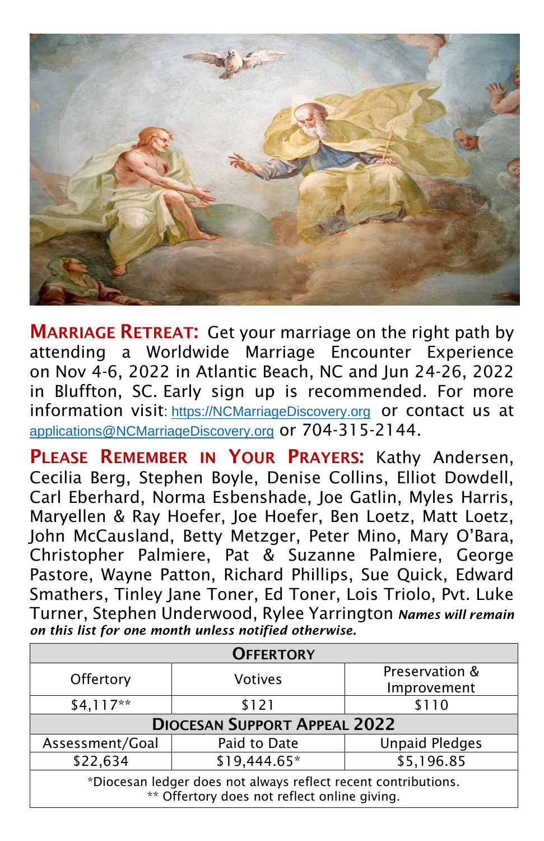

**MARRIAGE RETREAT:** Get your marriage on the right path by attending a Worldwide Marriage Encounter Experience on Nov 4-6, 2022 in Atlantic Beach, NC and Jun 24-26, 2022 in Bluffton, SC. Early sign up is recommended. For more information visit: [https://NCMarriageDiscovery.org](https://ncmarriagediscovery.org/) or contact us at [applications@NCMarriageDiscovery.org](file:///C:/Users/Owner/Desktop/Favorites/applications@NCMarriageDiscovery.org) or 704-315-2144.

PLEASE REMEMBER IN YOUR PRAYERS: Kathy Andersen, Cecilia Berg, Stephen Boyle, Denise Collins, Elliot Dowdell, Carl Eberhard, Norma Esbenshade, Joe Gatlin, Myles Harris, Maryellen & Ray Hoefer, Joe Hoefer, Ben Loetz, Matt Loetz, John McCausland, Betty Metzger, Peter Mino, Mary O'Bara, Christopher Palmiere, Pat & Suzanne Palmiere, George Pastore, Wayne Patton, Richard Phillips, Sue Quick, Edward Smathers, Tinley Jane Toner, Ed Toner, Lois Triolo, Pvt. Luke Turner, Stephen Underwood, Rylee Yarrington *Names will remain on this list for one month unless notified otherwise.*

| <b>OFFERTORY</b>                                                                                               |              |                       |  |  |  |
|----------------------------------------------------------------------------------------------------------------|--------------|-----------------------|--|--|--|
| Offertory<br><b>Votives</b>                                                                                    |              | Preservation &        |  |  |  |
|                                                                                                                | Improvement  |                       |  |  |  |
| $$4,117**$                                                                                                     | \$121        | \$110                 |  |  |  |
| <b>DIOCESAN SUPPORT APPEAL 2022</b>                                                                            |              |                       |  |  |  |
| Assessment/Goal                                                                                                | Paid to Date | <b>Unpaid Pledges</b> |  |  |  |
| \$22,634                                                                                                       | \$19,444.65* | \$5,196.85            |  |  |  |
| *Diocesan ledger does not always reflect recent contributions.<br>** Offertory does not reflect online giving. |              |                       |  |  |  |